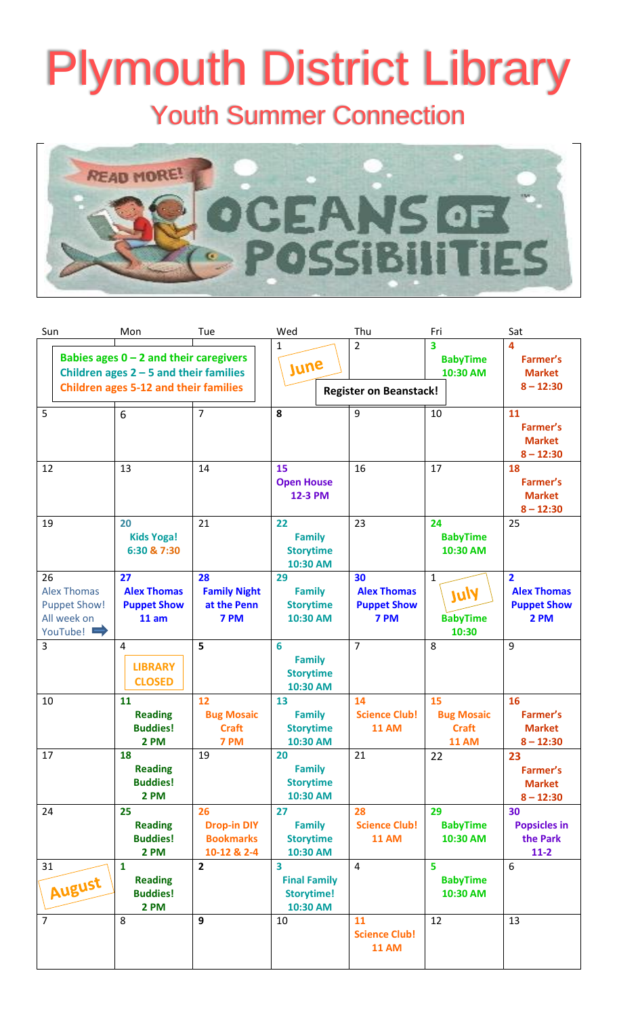# Plymouth District Library

Youth Summer Connection



| Sun                                                                        | Mon                                                                                                                                  | Tue                                                         | Wed                                                       | Thu                                                    | Fri                                                     | Sat                                                                |
|----------------------------------------------------------------------------|--------------------------------------------------------------------------------------------------------------------------------------|-------------------------------------------------------------|-----------------------------------------------------------|--------------------------------------------------------|---------------------------------------------------------|--------------------------------------------------------------------|
|                                                                            | Babies ages $0 - 2$ and their caregivers<br>Children ages $2 - 5$ and their families<br><b>Children ages 5-12 and their families</b> |                                                             | $\mathbf{1}$<br>June                                      | $\overline{2}$<br><b>Register on Beanstack!</b>        | $\overline{\mathbf{3}}$<br><b>BabyTime</b><br>10:30 AM  | $\Delta$<br>Farmer's<br><b>Market</b><br>$8 - 12:30$               |
| 5                                                                          | 6                                                                                                                                    | $\overline{7}$                                              | 8                                                         | 9                                                      | 10                                                      | 11<br>Farmer's<br><b>Market</b><br>$8 - 12:30$                     |
| 12                                                                         | 13                                                                                                                                   | 14                                                          | 15<br><b>Open House</b><br><b>12-3 PM</b>                 | 16                                                     | 17                                                      | 18<br>Farmer's<br><b>Market</b><br>$8 - 12:30$                     |
| 19                                                                         | 20<br><b>Kids Yoga!</b><br>6:30 & 7:30                                                                                               | 21                                                          | 22<br><b>Family</b><br><b>Storytime</b><br>10:30 AM       | 23                                                     | 24<br><b>BabyTime</b><br>10:30 AM                       | 25                                                                 |
| 26<br><b>Alex Thomas</b><br><b>Puppet Show!</b><br>All week on<br>YouTube! | 27<br><b>Alex Thomas</b><br><b>Puppet Show</b><br>11 am                                                                              | 28<br><b>Family Night</b><br>at the Penn<br>7 PM            | 29<br><b>Family</b><br><b>Storytime</b><br>10:30 AM       | 30<br><b>Alex Thomas</b><br><b>Puppet Show</b><br>7 PM | $\mathbf{1}$<br><b>Vuly</b><br><b>BabyTime</b><br>10:30 | $\overline{2}$<br><b>Alex Thomas</b><br><b>Puppet Show</b><br>2 PM |
| 3                                                                          | 4<br><b>LIBRARY</b><br><b>CLOSED</b>                                                                                                 | 5                                                           | 6<br><b>Family</b><br><b>Storytime</b><br>10:30 AM        | $\overline{7}$                                         | 8                                                       | 9                                                                  |
| 10                                                                         | 11<br><b>Reading</b><br><b>Buddies!</b><br>2 PM                                                                                      | 12<br><b>Bug Mosaic</b><br><b>Craft</b><br>7 PM             | 13<br><b>Family</b><br><b>Storytime</b><br>10:30 AM       | 14<br><b>Science Club!</b><br><b>11 AM</b>             | 15<br><b>Bug Mosaic</b><br><b>Craft</b><br><b>11 AM</b> | 16<br>Farmer's<br><b>Market</b><br>$8 - 12:30$                     |
| 17                                                                         | 18<br><b>Reading</b><br><b>Buddies!</b><br>2 PM                                                                                      | 19                                                          | 20<br><b>Family</b><br><b>Storytime</b><br>10:30 AM       | 21                                                     | 22                                                      | 23<br>Farmer's<br><b>Market</b><br>$8 - 12:30$                     |
| 24                                                                         | 25<br><b>Reading</b><br><b>Buddies!</b><br>2 PM                                                                                      | 26<br><b>Drop-in DIY</b><br><b>Bookmarks</b><br>10-12 & 2-4 | 27<br><b>Family</b><br><b>Storytime</b><br>10:30 AM       | 28<br><b>Science Club!</b><br><b>11 AM</b>             | 29<br><b>BabyTime</b><br>10:30 AM                       | 30<br><b>Popsicles in</b><br>the Park<br>$11-2$                    |
| 31<br>August                                                               | $\mathbf{1}$<br><b>Reading</b><br><b>Buddies!</b><br>2 PM                                                                            | $\overline{2}$                                              | 3<br><b>Final Family</b><br><b>Storytime!</b><br>10:30 AM | 4                                                      | 5<br><b>BabyTime</b><br>10:30 AM                        | 6                                                                  |
| $\overline{7}$                                                             | 8                                                                                                                                    | 9                                                           | 10                                                        | 11<br><b>Science Club!</b><br><b>11 AM</b>             | 12                                                      | 13                                                                 |